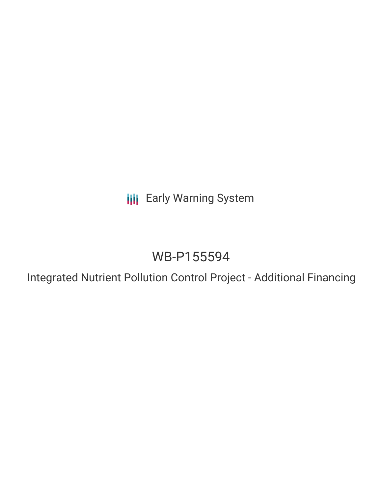**III** Early Warning System

# WB-P155594

Integrated Nutrient Pollution Control Project - Additional Financing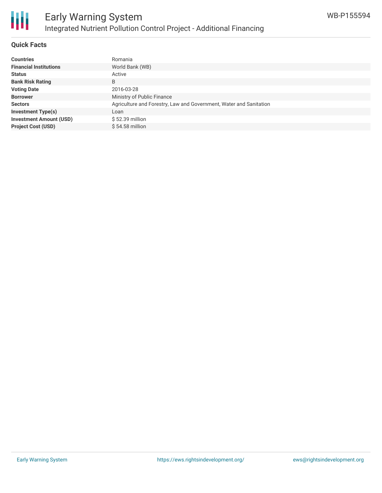

## **Quick Facts**

| <b>Countries</b>               | Romania                                                            |
|--------------------------------|--------------------------------------------------------------------|
| <b>Financial Institutions</b>  | World Bank (WB)                                                    |
| <b>Status</b>                  | Active                                                             |
| <b>Bank Risk Rating</b>        | B                                                                  |
| <b>Voting Date</b>             | 2016-03-28                                                         |
| <b>Borrower</b>                | Ministry of Public Finance                                         |
| <b>Sectors</b>                 | Agriculture and Forestry, Law and Government, Water and Sanitation |
| <b>Investment Type(s)</b>      | Loan                                                               |
| <b>Investment Amount (USD)</b> | $$52.39$ million                                                   |
| <b>Project Cost (USD)</b>      | $$54.58$ million                                                   |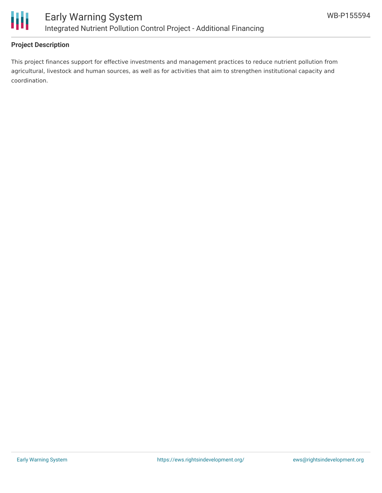

# **Project Description**

This project finances support for effective investments and management practices to reduce nutrient pollution from agricultural, livestock and human sources, as well as for activities that aim to strengthen institutional capacity and coordination.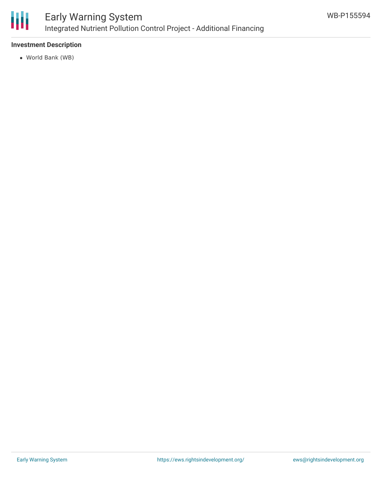

## **Investment Description**

World Bank (WB)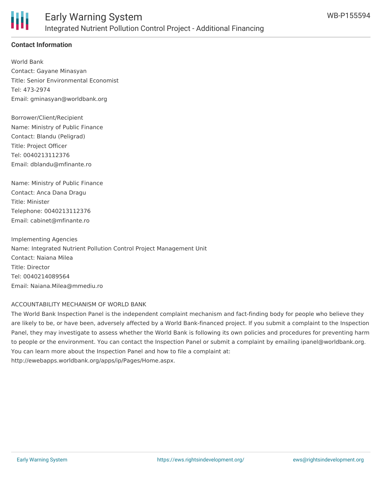

# **Contact Information**

World Bank Contact: Gayane Minasyan Title: Senior Environmental Economist Tel: 473-2974 Email: gminasyan@worldbank.org

Borrower/Client/Recipient Name: Ministry of Public Finance Contact: Blandu (Peligrad) Title: Project Officer Tel: 0040213112376 Email: dblandu@mfinante.ro

Name: Ministry of Public Finance Contact: Anca Dana Dragu Title: Minister Telephone: 0040213112376 Email: cabinet@mfinante.ro

Implementing Agencies Name: Integrated Nutrient Pollution Control Project Management Unit Contact: Naiana Milea Title: Director Tel: 0040214089564 Email: Naiana.Milea@mmediu.ro

#### ACCOUNTABILITY MECHANISM OF WORLD BANK

The World Bank Inspection Panel is the independent complaint mechanism and fact-finding body for people who believe they are likely to be, or have been, adversely affected by a World Bank-financed project. If you submit a complaint to the Inspection Panel, they may investigate to assess whether the World Bank is following its own policies and procedures for preventing harm to people or the environment. You can contact the Inspection Panel or submit a complaint by emailing ipanel@worldbank.org. You can learn more about the Inspection Panel and how to file a complaint at: http://ewebapps.worldbank.org/apps/ip/Pages/Home.aspx.